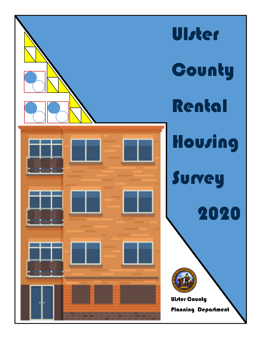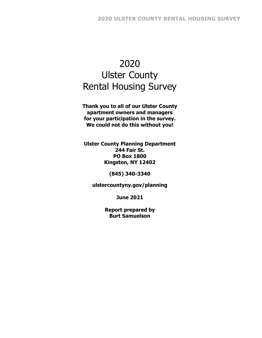# 2020 Ulster County Rental Housing Survey

**Thank you to all of our Ulster County apartment owners and managers for your participation in the survey. We could not do this without you!** 

**Ulster County Planning Department 244 Fair St. PO Box 1800 Kingston, NY 12402** 

**(845) 340-3340** 

**ulstercountyny.gov/planning** 

**June 2021** 

**Report prepared by Burt Samuelson**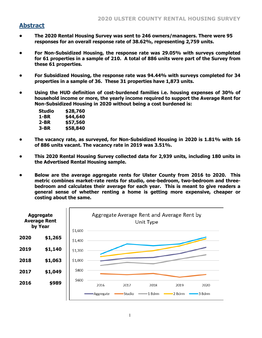## **Abstract**

- **The 2020 Rental Housing Survey was sent to 246 owners/managers. There were 95 responses for an overall response rate of 38.62%, representing 2,759 units.**
- **For Non-Subsidized Housing, the response rate was 29.05% with surveys completed for 61 properties in a sample of 210. A total of 886 units were part of the Survey from these 61 properties.**
- **For Subsidized Housing, the response rate was 94.44% with surveys completed for 34 properties in a sample of 36. These 31 properties have 1,873 units.**
- **Using the HUD definition of cost-burdened families i.e. housing expenses of 30% of household income or more, the yearly income required to support the Average Rent for Non-Subsidized Housing in 2020 without being a cost burdened is:**

| Studio   | \$28,760 |
|----------|----------|
| 1-BR     | \$44,640 |
| $2 - BR$ | \$57,560 |
| 3-BR     | \$58,840 |

- **The vacancy rate, as surveyed, for Non-Subsidized Housing in 2020 is 1.81% with 16 of 886 units vacant. The vacancy rate in 2019 was 3.51%.**
- **This 2020 Rental Housing Survey collected data for 2,939 units, including 180 units in the Advertised Rental Housing sample.**
- **Below are the average aggregate rents for Ulster County from 2016 to 2020. This metric combines market-rate rents for studio, one-bedroom, two-bedroom and threebedroom and calculates their average for each year. This is meant to give readers a general sense of whether renting a home is getting more expensive, cheaper or costing about the same.**

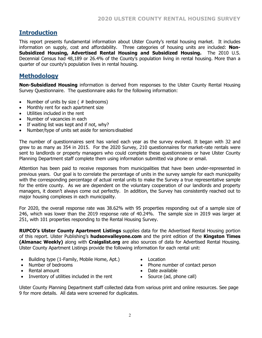## **Introduction**

This report presents fundamental information about Ulster County's rental housing market. It includes information on supply, cost and affordability. Three categories of housing units are included: **Non-Subsidized Housing, Advertised Rental Housing and Subsidized Housing.** The 2010 U.S. Decennial Census had 48,189 or 26.4% of the County's population living in rental housing. More than a quarter of our county's population lives in rental housing.

## **Methodology**

**Non-Subsidized Housing** information is derived from responses to the Ulster County Rental Housing Survey Questionnaire. The questionnaire asks for the following information:

- Number of units by size  $( #$  bedrooms)
- Monthly rent for each apartment size
- Utilities included in the rent
- Number of vacancies in each
- If waiting list was kept and if not, why?
- Number/type of units set aside for seniors/disabled

The number of questionnaires sent has varied each year as the survey evolved. It began with 32 and grew to as many as 354 in 2015. For the 2020 Survey, 210 questionnaires for market-rate rentals were sent to landlords or property managers who could complete these questionnaires or have Ulster County Planning Department staff complete them using information submitted via phone or email.

Attention has been paid to receive responses from municipalities that have been under-represented in previous years. Our goal is to correlate the percentage of units in the survey sample for each municipality with the corresponding percentage of actual rental units to make the Survey a true representative sample for the entire county. As we are dependent on the voluntary cooperation of our landlords and property managers, it doesn't always come out perfectly. In addition, the Survey has consistently reached out to major housing complexes in each municipality.

For 2020, the overall response rate was 38.62% with 95 properties responding out of a sample size of 246, which was lower than the 2019 response rate of 40.24%. The sample size in 2019 was larger at 251, with 101 properties responding to the Rental Housing Survey.

**RUPCO's Ulster County Apartment Listings** supplies data for the Advertised Rental Housing portion of this report. Ulster Publishing's **hudsonvalleyone.com** and the print edition of the **Kingston Times (Almanac Weekly)** along with **Craigslist.org** are also sources of data for Advertised Rental Housing. Ulster County Apartment Listings provide the following information for each rental unit:

- Building type (1-Family, Mobile Home, Apt.)
- Number of bedrooms
- Rental amount
- Inventory of utilities included in the rent
- Location
- Phone number of contact person
- Date available
- Source (ad, phone call)

Ulster County Planning Department staff collected data from various print and online resources. See page 9 for more details. All data were screened for duplicates.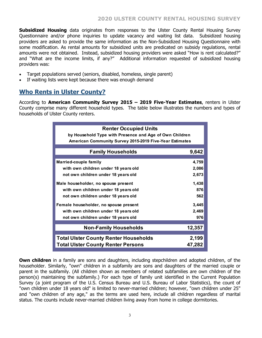**Subsidized Housing** data originates from responses to the Ulster County Rental Housing Survey Questionnaire and/or phone inquiries to update vacancy and waiting list data. Subsidized housing providers are asked to provide the same information as the Non-Subsidized Housing Questionnaire with some modification. As rental amounts for subsidized units are predicated on subsidy regulations, rental amounts were not obtained. Instead, subsidized housing providers were asked "How is rent calculated?" and "What are the income limits, if any?" Additional information requested of subsidized housing providers was:

- Target populations served (seniors, disabled, homeless, single parent)
- If waiting lists were kept because there was enough demand

# **Who Rents in Ulster County?**

According to **American Community Survey 2015 – 2019 Five-Year Estimates**, renters in Ulster County comprise many different household types. The table below illustrates the numbers and types of households of Ulster County renters.

| <b>Renter Occupied Units</b>                            |        |
|---------------------------------------------------------|--------|
| by Household Type with Presence and Age of Own Children |        |
| American Community Survey 2015-2019 Five-Year Estimates |        |
|                                                         |        |
| <b>Family Households</b>                                | 9,642  |
| Married-couple family                                   | 4,759  |
| with own children under 18 years old                    | 2,086  |
| not own children under 18 years old                     | 2,673  |
| Male householder, no spouse present                     | 1,438  |
| with own children under 18 years old                    | 876    |
| not own children under 18 years old                     | 562    |
| Female householder, no spouse present                   | 3,445  |
| with own children under 18 years old                    | 2,469  |
| not own children under 18 years old                     | 976    |
|                                                         |        |
| <b>Non-Family Households</b>                            | 12,357 |
| <b>Total Ulster County Renter Households</b>            | 2,199  |
| <b>Total Ulster County Renter Persons</b>               | 47,282 |

**Own children** in a family are sons and daughters, including stepchildren and adopted children, of the householder. Similarly, "own" children in a subfamily are sons and daughters of the married couple or parent in the subfamily. (All children shown as members of related subfamilies are own children of the person(s) maintaining the subfamily.) For each type of family unit identified in the Current Population Survey (a joint program of the U.S. Census Bureau and U.S. Bureau of Labor Statistics), the count of "own children under 18 years old" is limited to never-married children; however, "own children under 25" and "own children of any age," as the terms are used here, include all children regardless of marital status. The counts include never-married children living away from home in college dormitories.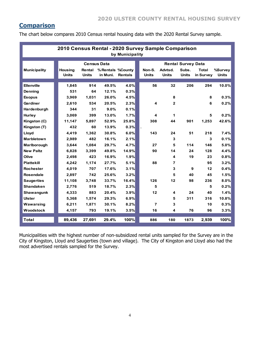# **Comparison**

The chart below compares 2010 Census rental housing data with the 2020 Rental Survey sample.

| 2010 Census Rental - 2020 Survey Sample Comparison<br>by Municipality |                                |                        |                                |                |  |                         |                         |                           |                           |                         |  |  |  |
|-----------------------------------------------------------------------|--------------------------------|------------------------|--------------------------------|----------------|--|-------------------------|-------------------------|---------------------------|---------------------------|-------------------------|--|--|--|
|                                                                       |                                |                        |                                |                |  |                         |                         |                           |                           |                         |  |  |  |
|                                                                       |                                | <b>Census Data</b>     |                                |                |  |                         |                         | <b>Rental Survey Data</b> |                           |                         |  |  |  |
| <b>Municipality</b>                                                   | <b>Housing</b><br><b>Units</b> | Rental<br><b>Units</b> | % Rentals % County<br>in Muni. | <b>Rentals</b> |  | Non-S.<br><b>Units</b>  | Advtsd.<br><b>Units</b> | Subs.<br><b>Units</b>     | <b>Total</b><br>in Survey | %Survey<br><b>Units</b> |  |  |  |
|                                                                       |                                |                        |                                |                |  |                         |                         |                           |                           |                         |  |  |  |
| <b>Ellenville</b>                                                     | 1.845                          | 914                    | 49.5%                          | 4.0%           |  | 56                      | 32                      | 206                       | 294                       | 10.0%                   |  |  |  |
| Denning                                                               | 531                            | 64                     | 12.1%                          | 0.3%           |  |                         |                         |                           |                           |                         |  |  |  |
| <b>Esopus</b>                                                         | 3,969                          | 1,031                  | 26.0%                          | 4.5%           |  |                         | 8                       |                           | 8                         | 0.3%                    |  |  |  |
| Gardiner                                                              | 2.610                          | 534                    | 20.5%                          | 2.3%           |  | $\overline{\mathbf{4}}$ | $\overline{2}$          |                           | 6                         | 0.2%                    |  |  |  |
| Hardenburgh                                                           | 344                            | 31                     | 9.0%                           | 0.1%           |  |                         |                         |                           |                           |                         |  |  |  |
| <b>Hurley</b>                                                         | 3,069                          | 399                    | 13.0%                          | 1.7%           |  | 4                       | 1                       |                           | 5                         | 0.2%                    |  |  |  |
| Kingston (C)                                                          | 11,147                         | 5,897                  | 52.9%                          | 25.8%          |  | 308                     | 44                      | 901                       | 1,253                     | 42.6%                   |  |  |  |
| Kingston (T)                                                          | 432                            | 60                     | 13.9%                          | 0.3%           |  |                         |                         |                           |                           |                         |  |  |  |
| Lloyd                                                                 | 4.419                          | 1,362                  | 30.8%                          | 6.0%           |  | 143                     | 24                      | 51                        | 218                       | 7.4%                    |  |  |  |
| <b>Marbletown</b>                                                     | 2,989                          | 482                    | 16.1%                          | 2.1%           |  |                         | 3                       |                           | 3                         | 0.1%                    |  |  |  |
| Marlborough                                                           | 3,644                          | 1,084                  | 29.7%                          | 4.7%           |  | 27                      | 5                       | 114                       | 146                       | 5.0%                    |  |  |  |
| <b>New Paltz</b>                                                      | 6,828                          | 3,399                  | 49.8%                          | 14.9%          |  | 90                      | 14                      | 24                        | 128                       | 4.4%                    |  |  |  |
| Olive                                                                 | 2.498                          | 423                    | 16.9%                          | 1.9%           |  |                         | 4                       | 19                        | 23                        | 0.8%                    |  |  |  |
| <b>Plattekill</b>                                                     | 4,242                          | 1,174                  | 27.7%                          | 5.1%           |  | 88                      | 7                       |                           | 95                        | 3.2%                    |  |  |  |
| <b>Rochester</b>                                                      | 4,019                          | 707                    | 17.6%                          | 3.1%           |  |                         | 3                       | 9                         | 12                        | 0.4%                    |  |  |  |
| <b>Rosendale</b>                                                      | 2,897                          | 742                    | 25.6%                          | 3.2%           |  |                         | 5                       | 40                        | 45                        | 1.5%                    |  |  |  |
| <b>Saugerties</b>                                                     | 11,108                         | 3.748                  | 33.7%                          | 16.4%          |  | 126                     | 12                      | 98                        | 236                       | 8.0%                    |  |  |  |
| <b>Shandaken</b>                                                      | 2,776                          | 519                    | 18.7%                          | 2.3%           |  | 5                       |                         |                           | 5                         | 0.2%                    |  |  |  |
| Shawangunk                                                            | 4,333                          | 883                    | 20.4%                          | 3.9%           |  | 12                      | 4                       | 24                        | 40                        | 1.4%                    |  |  |  |
| <b>Ulster</b>                                                         | 5,368                          | 1,574                  | 29.3%                          | 6.9%           |  |                         | 5                       | 311                       | 316                       | 10.8%                   |  |  |  |
| Wawarsing                                                             | 6,211                          | 1,871                  | 30.1%                          | 8.2%           |  | $\overline{7}$          | 3                       |                           | 10                        | 0.3%                    |  |  |  |
| Woodstock                                                             | 4,157                          | 793                    | 19.1%                          | 3.5%           |  | 16                      | 4                       | 76                        | 96                        | 3.3%                    |  |  |  |
| <b>Total</b>                                                          | 89,436                         | 27,691                 | 29.4%                          | 100%           |  | 886                     | 180                     | 1873                      | 2,939                     | 100%                    |  |  |  |

Municipalities with the highest number of non-subsidized rental units sampled for the Survey are in the City of Kingston, Lloyd and Saugerties (town and village). The City of Kingston and Lloyd also had the most advertised rentals sampled for the Survey.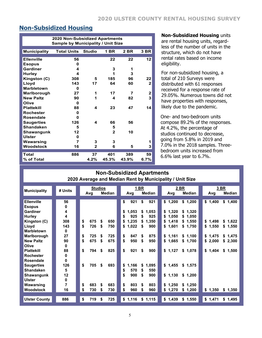# **Non-Subsidized Housing**

| <b>2020 Non-Subsidized Apartments</b><br><b>Sample by Municipality / Unit Size</b> |                    |               |              |       |              |  |  |  |  |  |  |  |
|------------------------------------------------------------------------------------|--------------------|---------------|--------------|-------|--------------|--|--|--|--|--|--|--|
| <b>Municipality</b>                                                                | <b>Total Units</b> | <b>Studio</b> | 1 BR         | 2 BR  | 3 BR         |  |  |  |  |  |  |  |
| <b>Ellenville</b>                                                                  | 56                 |               | 22           | 22    | 12           |  |  |  |  |  |  |  |
| <b>Esopus</b>                                                                      | 0                  |               |              |       |              |  |  |  |  |  |  |  |
| Gardiner                                                                           | 4                  |               | 3            | 1     |              |  |  |  |  |  |  |  |
| <b>Hurley</b>                                                                      | 4                  |               | 1            | 3     |              |  |  |  |  |  |  |  |
| Kingston (C)                                                                       | 308                | 5             | 185          | 96    | 22           |  |  |  |  |  |  |  |
| Lloyd                                                                              | 143                | 17            | 64           | 60    | 2            |  |  |  |  |  |  |  |
| <b>Marbletown</b>                                                                  | O                  |               |              |       |              |  |  |  |  |  |  |  |
| Marlborough                                                                        | 27                 | 1             | 17           | 7     | $\mathbf{2}$ |  |  |  |  |  |  |  |
| <b>New Paltz</b>                                                                   | 90                 | 1             | 4            | 82    | 3            |  |  |  |  |  |  |  |
| Olive                                                                              | 0                  |               |              |       |              |  |  |  |  |  |  |  |
| <b>Plattekill</b>                                                                  | 88                 | 4             | 23           | 47    | 14           |  |  |  |  |  |  |  |
| <b>Rochester</b>                                                                   | 0                  |               |              |       |              |  |  |  |  |  |  |  |
| Rosendale                                                                          | U                  |               |              |       |              |  |  |  |  |  |  |  |
| <b>Saugerties</b>                                                                  | 126                | 4             | 66           | 56    |              |  |  |  |  |  |  |  |
| <b>Shandaken</b>                                                                   | 5                  |               | 5            |       |              |  |  |  |  |  |  |  |
| <b>Shawangunk</b>                                                                  | 12                 |               | $\mathbf{2}$ | 10    |              |  |  |  |  |  |  |  |
| <b>Ulster</b>                                                                      | 0                  |               |              |       |              |  |  |  |  |  |  |  |
| Wawarsing                                                                          | 7                  | 3             | 3            |       | 1            |  |  |  |  |  |  |  |
| <b>Woodstock</b>                                                                   | 16                 | $\mathbf{2}$  | 6            | 5     | 3            |  |  |  |  |  |  |  |
| <b>Total</b>                                                                       | 886                | 37            | 401          | 389   | 59           |  |  |  |  |  |  |  |
| % of Total                                                                         |                    | 4.2%          | 45.3%        | 43.9% | 6.7%         |  |  |  |  |  |  |  |

#### **Non-Subsidized Housing** units

are rental housing units, regardless of the number of units in the structure, which do not have rental rates based on income eligibility.

For non-subsidized housing, a total of 210 Surveys were distributed with 61 responses received for a response rate of 29.05%. Numerous towns did not have properties with responses, likely due to the pandemic.

One- and two-bedroom units compose 89.2% of the responses. At 4.2%, the percentage of studios continued to decrease, going from 5.8% in 2019 and 7.0% in the 2018 samples. Threebedroom units increased from 6.6% last year to 6.7%.

#### **Non-Subsidized Apartments 2020 Average and Median Rent by Municipality / Unit Size**

| <b>Municipality</b>  | # Units | <b>Studios</b> |     |               |    |         | <b>BR</b> |         |             | <u>2 BR</u> | 3 BR    |         |
|----------------------|---------|----------------|-----|---------------|----|---------|-----------|---------|-------------|-------------|---------|---------|
|                      |         | Avg            |     | <b>Median</b> |    | Avg     |           | Median  | Avg         | Median      | Avg     | Median  |
| <b>Ellenville</b>    | 56      |                |     |               | \$ | 921     | \$        | 921     | \$1,200     | \$1,200     | \$1,400 | \$1,400 |
| <b>Esopus</b>        | 0       |                |     |               |    |         |           |         |             |             |         |         |
| <b>Gardiner</b>      | 4       |                |     |               | \$ | 1,053   | \$        | 1,053   | \$1,320     | \$1,320     |         |         |
| <b>Hurley</b>        | 4       |                |     |               | \$ | 925     | S.        | 925     | \$<br>1,050 | \$1,050     |         |         |
| Kingston (C)         | 308     | \$<br>675      | \$  | 650           | \$ | 1,235   | \$        | 1,350   | \$1,418     | \$1,550     | \$1,498 | \$1,622 |
| Lloyd                | 143     | \$<br>726      | \$  | 750           | \$ | 1,022   | S         | 900     | 1,601<br>\$ | \$1,750     | \$1,550 | \$1,550 |
| <b>Marbletown</b>    | 0       |                |     |               |    |         |           |         |             |             |         |         |
| Marlborough          | 27      | \$<br>725      | \$  | 725           | \$ | 847     | \$        | 875     | \$1,161     | \$1,100     | \$1,475 | \$1,475 |
| <b>New Paltz</b>     | 90      | \$<br>675      | \$  | 675           | \$ | 950     | \$        | 950     | \$1,665     | \$1,700     | \$2,000 | \$2,300 |
| Olive                | 0       |                |     |               |    |         |           |         |             |             |         |         |
| <b>Plattekill</b>    | 88      | \$<br>794      | -\$ | 825           | \$ | 921     | \$        | 900     | \$1,127     | \$1,078     | \$1,404 | \$1,500 |
| <b>Rochester</b>     | 0       |                |     |               |    |         |           |         |             |             |         |         |
| Rosendale            | 0       |                |     |               |    |         |           |         |             |             |         |         |
| <b>Saugerties</b>    | 126     | \$<br>705      | \$  | 693           | \$ | 1,166   | \$        | 1,095   | \$1,455     | \$1,575     |         |         |
| <b>Shandaken</b>     | 5       |                |     |               | \$ | 570     | S         | 550     |             |             |         |         |
| Shawangunk           | 12      |                |     |               | \$ | 900     | \$        | 900     | \$1,130     | \$1,200     |         |         |
| <b>Ulster</b>        | 0       |                |     |               |    |         |           |         |             |             |         |         |
| Wawarsing            | 7       | \$<br>683      | \$  | 683           | \$ | 803     | \$        | 803     | \$1,250     | \$1,250     |         |         |
| <b>Woodstock</b>     | 16      | \$<br>730      | \$  | 730           | \$ | 960     | \$        | 960     | \$<br>1,270 | \$1,200     | \$1,350 | \$1,350 |
|                      |         |                |     |               |    |         |           |         |             |             |         |         |
| <b>Ulster County</b> | 886     | \$<br>719      | \$  | 725           |    | \$1,116 |           | \$1,115 | \$1,439     | \$1,550     | \$1,471 | \$1,495 |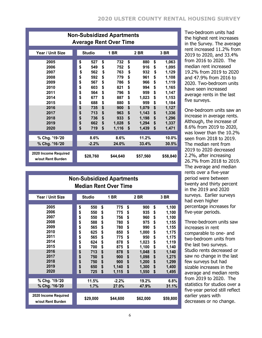| <b>Non-Subsidized Apartments</b><br><b>Average Rent Over Time</b>                                            |                                                                                  |                                                                                                |                                                                                  |                                                                                                    |                                                                                  |                                                                                                            |                                                                                  |                                                                                                                            |  |  |  |  |
|--------------------------------------------------------------------------------------------------------------|----------------------------------------------------------------------------------|------------------------------------------------------------------------------------------------|----------------------------------------------------------------------------------|----------------------------------------------------------------------------------------------------|----------------------------------------------------------------------------------|------------------------------------------------------------------------------------------------------------|----------------------------------------------------------------------------------|----------------------------------------------------------------------------------------------------------------------------|--|--|--|--|
| Year / Unit Size                                                                                             |                                                                                  | <b>Studio</b>                                                                                  |                                                                                  | <b>1 BR</b>                                                                                        |                                                                                  | 2 BR                                                                                                       |                                                                                  | 3 BR                                                                                                                       |  |  |  |  |
| 2005<br>2006<br>2007<br>2008<br>2009<br>2010<br>2011<br>2014<br>2015<br>2016<br>2017<br>2018<br>2019<br>2020 | \$<br>\$<br>\$<br>\$<br>\$<br>\$<br>\$<br>\$<br>\$<br>\$<br>\$<br>\$<br>\$<br>\$ | 527<br>549<br>562<br>592<br>567<br>603<br>564<br>677<br>688<br>735<br>713<br>736<br>662<br>719 | \$<br>\$<br>\$<br>\$<br>\$<br>\$<br>\$<br>\$<br>\$<br>\$<br>\$<br>\$<br>\$<br>\$ | 732<br>752<br>763<br>779<br>786<br>821<br>796<br>887<br>880<br>900<br>963<br>933<br>1,028<br>1,116 | \$<br>\$<br>\$<br>\$<br>\$<br>\$<br>\$<br>\$<br>\$<br>\$<br>\$<br>\$<br>\$<br>\$ | 880<br>916<br>932<br>961<br>966<br>994<br>959<br>1,023<br>959<br>1,079<br>1,143<br>1,198<br>1,294<br>1,439 | \$<br>\$<br>\$<br>\$<br>\$<br>\$<br>\$<br>\$<br>\$<br>\$<br>\$<br>\$<br>\$<br>\$ | 1,063<br>1,095<br>1,129<br>1,108<br>1,119<br>1,165<br>1,147<br>1,153<br>1,184<br>1,127<br>1,336<br>1,296<br>1,337<br>1,471 |  |  |  |  |
| % Chg. '19-'20<br>% Chg. '16-'20                                                                             |                                                                                  | 8.6%<br>$-2.2%$                                                                                |                                                                                  | 8.6%<br>24.0%                                                                                      |                                                                                  | 11.2%<br>33.4%                                                                                             |                                                                                  | 10.0%<br>30.5%                                                                                                             |  |  |  |  |
| 2020 Income Required<br>w/out Rent Burden                                                                    |                                                                                  | \$28,760                                                                                       |                                                                                  | \$44,640                                                                                           |                                                                                  | \$57,560                                                                                                   |                                                                                  | \$58,840                                                                                                                   |  |  |  |  |

Two-bedroom units had the highest rent increases in the Survey. The average rent increased 11.2% from 2019 to 2020, and 33.4% from 2016 to 2020. The median rent increased 19.2% from 2019 to 2020 and 47.9% from 2016 to 2020. Two-bedroom units have seen increased average rents in the last five surveys.

One-bedroom units saw an increase in average rents. Although, the increase of 8.6% from 2019 to 2020, was lower than the 10.2% seen from 2018 to 2019. The median rent from 2019 to 2020 decreased 2.2%, after increasing 26.7% from 2018 to 2019. The average and median rents over a five-year period were between twenty and thirty percent in the 2019 and 2020 surveys. Earlier surveys had even higher percentage increases for five-year periods.

Three-bedroom units saw increases in rent comparable to one- and two-bedroom units from the last two surveys. Studio rents decreased or saw no change in the last few surveys but had sizable increases in the average and median rents from 2019 to 2020. The statistics for studios over a five-year period still reflect earlier years with decreases or no change.

|                                           |               | <b>Non-Subsidized Apartments</b><br><b>Median Rent Over Time</b> |             |             |
|-------------------------------------------|---------------|------------------------------------------------------------------|-------------|-------------|
|                                           |               |                                                                  |             |             |
| Year / Unit Size                          | <b>Studio</b> | <b>1 BR</b>                                                      | 2 BR        | 3 BR        |
| 2005                                      |               |                                                                  |             |             |
| 2006                                      | \$<br>550     | \$<br>775                                                        | \$<br>900   | \$<br>1,100 |
| 2007                                      | \$<br>550     | \$<br>775                                                        | \$<br>935   | \$<br>1,100 |
| 2008                                      | \$<br>550     | \$<br>756                                                        | \$<br>960   | \$<br>1,100 |
| 2009                                      | \$<br>588     | \$<br>780                                                        | \$<br>975   | \$<br>1,155 |
| 2010                                      | \$<br>565     | \$<br>780                                                        | \$<br>990   | \$<br>1,155 |
| 2011                                      | \$<br>625     | \$<br>850                                                        | \$<br>1,000 | \$<br>1,175 |
| 2014                                      | \$<br>565     | \$<br>775                                                        | \$<br>950   | \$<br>1,175 |
| 2015                                      | \$<br>624     | \$<br>878                                                        | \$<br>1,023 | \$<br>1,119 |
| 2016                                      | \$<br>700     | \$<br>875                                                        | \$<br>1,100 | \$<br>1,140 |
|                                           | \$<br>713     | \$<br>878                                                        | \$<br>1,048 | \$<br>1,140 |
| 2017                                      | \$<br>750     | \$<br>900                                                        | \$<br>1,098 | \$<br>1,275 |
| 2018                                      | \$<br>750     | \$<br>900                                                        | \$<br>1,200 | \$<br>1,299 |
| 2019                                      | \$<br>650     | \$<br>1,140                                                      | \$<br>1,300 | \$<br>1,400 |
| 2020                                      | \$<br>725     | \$<br>1,115                                                      | \$<br>1,550 | \$<br>1,495 |
| % Chg. '19-'20                            |               |                                                                  |             |             |
|                                           | 11.5%         | $-2.2%$                                                          | 19.2%       | 6.8%        |
| % Chg. '16-'20                            | 1.7%          | 27.0%                                                            | 47.9%       | 31.1%       |
| 2020 Income Required<br>w/out Rent Burden | \$29,000      | \$44,600                                                         | \$62,000    | \$59,800    |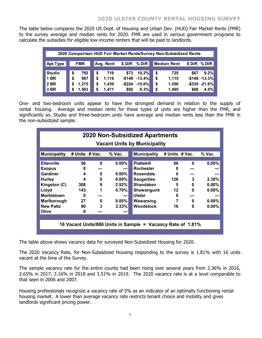The table below compares the 2020 US Dept. of Housing and Urban Dev. (HUD) Fair Market Rents (FMR) to the survey average and median rents for 2020. FMR are used in various government programs to calculate the subsidies for eligible low-income renters that will be paid to landlords.

|               | 2020 Comparison HUD Fair Market Rents/Survey Non-Subsidized Rents |            |    |           |          |                     |    |                    |      |                    |  |  |  |  |
|---------------|-------------------------------------------------------------------|------------|----|-----------|----------|---------------------|----|--------------------|------|--------------------|--|--|--|--|
|               |                                                                   |            |    |           |          |                     |    |                    |      |                    |  |  |  |  |
| Apt.Type      |                                                                   | <b>FMR</b> |    | Avg. Rent | \$ Diff. | % Diff.             |    | <b>Median Rent</b> |      | \$ Diff. % Diff.   |  |  |  |  |
|               |                                                                   |            |    |           |          |                     |    |                    |      |                    |  |  |  |  |
| <b>Studio</b> | \$                                                                | 792        | \$ | 719       | \$73     | 10.2%               | \$ | 725                | \$67 | 9.2%               |  |  |  |  |
| <b>1 BR</b>   | S                                                                 | 967        | \$ | 1,116     |          | $-$149 -13.4%$      | \$ | 1,115              |      | $-$148 -13.3%$     |  |  |  |  |
| 2 BR          | S                                                                 | 1,215      | \$ | 1,439     |          | $-$ \$224 $-$ 15.6% | \$ | 1,550              |      | $-$ \$335 $-21.6%$ |  |  |  |  |
| 3 BR          |                                                                   | 1,563      | \$ | 1,471     | \$92     | 6.3%                | \$ | 1,495              | \$68 | 4.5%               |  |  |  |  |

One- and two-bedroom units appear to have the strongest demand in relation to the supply of rental housing. Average and median rents for these types of units are higher than the FMR, and significantly so. Studio and three-bedroom units have average and median rents less than the FMR in the non-subsidized sample.

| <b>2020 Non-Subsidized Apartments</b><br><b>Vacant Units by Municipality</b>                                                                                     |                                                       |                                                                 |                                                                                                    |                                                                                                                                                             |                                                |                                                                          |                                                                                        |  |  |  |  |  |
|------------------------------------------------------------------------------------------------------------------------------------------------------------------|-------------------------------------------------------|-----------------------------------------------------------------|----------------------------------------------------------------------------------------------------|-------------------------------------------------------------------------------------------------------------------------------------------------------------|------------------------------------------------|--------------------------------------------------------------------------|----------------------------------------------------------------------------------------|--|--|--|--|--|
| <b>Municipality</b>                                                                                                                                              | # Units $#$ Vac.                                      |                                                                 | $%$ Vac.                                                                                           | <b>Municipality</b>                                                                                                                                         | # Units # Vac.                                 |                                                                          | $%$ Vac.                                                                               |  |  |  |  |  |
| <b>Ellenville</b><br><b>Esopus</b><br><b>Gardiner</b><br><b>Hurley</b><br>Kingston (C)<br>Lloyd<br><b>Marbletown</b><br>Marlborough<br><b>New Paltz</b><br>Olive | 56<br>0<br>4<br>4<br>308<br>143<br>0<br>27<br>90<br>0 | $\bf{0}$<br>$\bf{0}$<br>$\bf{0}$<br>9<br>1<br>$\mathbf{0}$<br>3 | $0.00\%$<br>$\sim$<br>$0.00\%$<br>$0.00\%$<br>2.92%<br>0.70%<br>$\sim$<br>$0.00\%$<br>3.33%<br>--- | <b>Plattekill</b><br><b>Rochester</b><br>Rosendale<br><b>Saugerties</b><br><b>Shandaken</b><br>Shawangunk<br><b>Ulster</b><br>Wawarsing<br><b>Woodstock</b> | 88<br>0<br>U<br>126<br>5<br>12<br>0<br>7<br>16 | $\bf{0}$<br>---<br>---<br>3<br>0<br>$\bf{0}$<br>---<br>0<br>$\mathbf{0}$ | $0.00\%$<br>---<br>---<br>2.38%<br>$0.00\%$<br>$0.00\%$<br>---<br>$0.00\%$<br>$0.00\%$ |  |  |  |  |  |
|                                                                                                                                                                  |                                                       |                                                                 |                                                                                                    | 16 Vacant Units/886 Units in Sample = Vacancy Rate of 1.81%                                                                                                 |                                                |                                                                          |                                                                                        |  |  |  |  |  |

The table above shows vacancy data for surveyed Non-Subsidized Housing for 2020.

The 2020 Vacancy Rate, for Non-Subsidized Housing responding to the survey is 1.81% with 16 units vacant at the time of the Survey.

The sample vacancy rate for the entire county had been rising over several years from 2.36% in 2016, 2.65% in 2017, 3.16% in 2018 and 3.51% in 2019. The 2020 vacancy rate is at a level comparable to that seen in 2006 and 2007.

Housing professionals recognize a vacancy rate of 5% as an indicator of an optimally functioning rental housing market. A lower than average vacancy rate restricts tenant choice and mobility and gives landlords significant pricing power.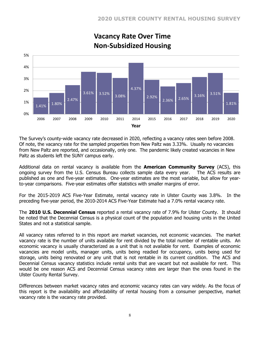

# **Vacancy Rate Over Time Non‐Subsidized Housing**

The Survey's county-wide vacancy rate decreased in 2020, reflecting a vacancy rates seen before 2008. Of note, the vacancy rate for the sampled properties from New Paltz was 3.33%. Usually no vacancies from New Paltz are reported, and occasionally, only one. The pandemic likely created vacancies in New Paltz as students left the SUNY campus early.

Additional data on rental vacancy is available from the **American Community Survey** (ACS), this ongoing survey from the U.S. Census Bureau collects sample data every year. The ACS results are published as one and five-year estimates. One-year estimates are the most variable, but allow for yearto-year comparisons. Five-year estimates offer statistics with smaller margins of error.

For the 2015-2019 ACS Five-Year Estimate, rental vacancy rate in Ulster County was 3.8%. In the preceding five-year period, the 2010-2014 ACS Five-Year Estimate had a 7.0% rental vacancy rate.

The **2010 U.S. Decennial Census** reported a rental vacancy rate of 7.9% for Ulster County. It should be noted that the Decennial Census is a physical count of the population and housing units in the United States and not a statistical sample.

All vacancy rates referred to in this report are market vacancies, not economic vacancies. The market vacancy rate is the number of units available for rent divided by the total number of rentable units. An economic vacancy is usually characterized as a unit that is not available for rent. Examples of economic vacancies are model units, manager units, units being readied for occupancy, units being used for storage, units being renovated or any unit that is not rentable in its current condition. The ACS and Decennial Census vacancy statistics include rental units that are vacant but not available for rent. This would be one reason ACS and Decennial Census vacancy rates are larger than the ones found in the Ulster County Rental Survey.

Differences between market vacancy rates and economic vacancy rates can vary widely. As the focus of this report is the availability and affordability of rental housing from a consumer perspective, market vacancy rate is the vacancy rate provided.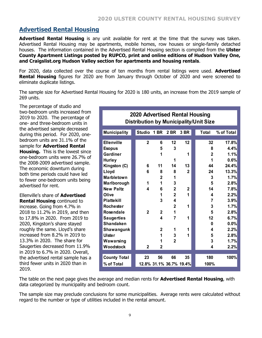# **Advertised Rental Housing**

**Advertised Rental Housing** is any unit available for rent at the time that the survey was taken. Advertised Rental Housing may be apartments, mobile homes, row houses or single-family detached houses. The information contained in the Advertised Rental Housing section is compiled from the **Ulster County Apartment Listings posted by RUPCO, print and online editions of Hudson Valley One, and Craigslist.org Hudson Valley section for apartments and housing rentals**.

For 2020, data collected over the course of ten months from rental listings were used. **Advertised Rental Housing** figures for 2020 are from January through October of 2020 and were screened to eliminate duplicate listings.

The sample size for Advertised Rental Housing for 2020 is 180 units, an increase from the 2019 sample of 269 units.

The percentage of studio and two-bedroom units increased from 2019 to 2020. The percentage of one- and three-bedroom units in the advertised sample decreased during this period. For 2020, onebedroom units are 31.1% of the sample for **Advertised Rental Housing.** This is the lowest since one-bedroom units were 26.7% of the 2008-2009 advertised sample. The economic downturn during both time periods could have led to fewer one-bedroom units being advertised for rent.

Ellenville's share of **Advertised Rental Housing** continued to increase. Going from 4.7% in 2018 to 11.2% in 2019, and then to 17.8% in 2020. From 2019 to 2020, Kingston's share stayed roughly the same. Lloyd's share increased from 8.2% in 2019 to 13.3% in 2020. The share for Saugerties decreased from 11.9% in 2019 to 6.7% in 2020. Overall, the advertised rental sample has a third fewer units in 2020 than in 2019.

| 2020 Advertised Rental Housing<br><b>Distribution by Municipality/Unit Size</b> |               |                |                         |              |                |            |  |  |  |  |  |  |
|---------------------------------------------------------------------------------|---------------|----------------|-------------------------|--------------|----------------|------------|--|--|--|--|--|--|
| <b>Municipality</b>                                                             | <b>Studio</b> | 1 BR           | 2 BR                    | 3 BR         | <b>Total</b>   | % of Total |  |  |  |  |  |  |
| <b>Ellenville</b>                                                               | $\mathbf{2}$  | 6              | 12                      | 12           | 32             | 17.8%      |  |  |  |  |  |  |
| <b>Esopus</b>                                                                   |               | 5              | 3                       |              | 8              | 4.4%       |  |  |  |  |  |  |
| Gardiner                                                                        |               | 1              |                         | 1            | $\overline{2}$ | 1.1%       |  |  |  |  |  |  |
| <b>Hurley</b>                                                                   |               |                | 1                       |              | 1              | 0.6%       |  |  |  |  |  |  |
| Kingston (C)                                                                    | 6             | 11             | 14                      | 13           | 44             | 24.4%      |  |  |  |  |  |  |
| Lloyd                                                                           | 6             | 8              | 8                       | $\mathbf{2}$ | 24             | 13.3%      |  |  |  |  |  |  |
| <b>Marbletown</b>                                                               |               | $\overline{2}$ | 1                       |              | 3              | 1.7%       |  |  |  |  |  |  |
| Marlborough                                                                     | 1             | 1              | 3                       |              | 5              | 2.8%       |  |  |  |  |  |  |
| <b>New Paltz</b>                                                                | 4             | 6              | $\overline{2}$          | $\mathbf{2}$ | 14             | 7.8%       |  |  |  |  |  |  |
| Olive                                                                           |               | 1              | $\overline{2}$          | 1            | 4              | 2.2%       |  |  |  |  |  |  |
| <b>Plattekill</b>                                                               |               | 3              | $\overline{\mathbf{4}}$ |              | 7              | 3.9%       |  |  |  |  |  |  |
| <b>Rochester</b>                                                                |               |                | $\overline{2}$          | 1            | 3              | 1.7%       |  |  |  |  |  |  |
| <b>Rosendale</b>                                                                | $\mathbf{2}$  | $\mathbf 2$    | 1                       |              | 5              | 2.8%       |  |  |  |  |  |  |
| <b>Saugerties</b>                                                               |               | 4              | 7                       | 1            | 12             | 6.7%       |  |  |  |  |  |  |
| <b>Shandaken</b>                                                                |               |                |                         |              | 0              | 0.0%       |  |  |  |  |  |  |
| Shawangunk                                                                      |               | $\mathbf 2$    | 1                       | 1            | 4              | 2.2%       |  |  |  |  |  |  |
| <b>Ulster</b>                                                                   |               | 1              | 3                       | 1            | 5              | 2.8%       |  |  |  |  |  |  |
| Wawarsing                                                                       |               | 1              | $\overline{2}$          |              | 3              | 1.7%       |  |  |  |  |  |  |
| Woodstock                                                                       | $\mathbf{2}$  | $\mathbf 2$    |                         |              | 4              | 2.2%       |  |  |  |  |  |  |
| <b>County Total</b>                                                             | 23            | 56             | 66                      | 35           | 180            | 100%       |  |  |  |  |  |  |
| % of Total                                                                      |               |                | 12.8% 31.1% 36.7% 19.4% |              | 100%           |            |  |  |  |  |  |  |

The table on the next page gives the average and median rents for **Advertised Rental Housing**, with data categorized by municipality and bedroom count.

The sample size may preclude conclusions for some municipalities. Average rents were calculated without regard to the number or type of utilities included in the rental amount.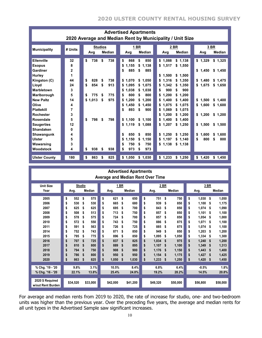| <b>Advertised Apartments</b><br>2020 Average and Median Rent by Municipality / Unit Size                                                                                                                                                                                         |                                                                                             |                                                                                                                                                        |                                                                                                                                                                                                                                                                                                                                   |                                                                                                                                                                                                                                                                                                                                                                                  |                                                                                                                                                                                                                                      |  |  |  |  |  |  |  |  |
|----------------------------------------------------------------------------------------------------------------------------------------------------------------------------------------------------------------------------------------------------------------------------------|---------------------------------------------------------------------------------------------|--------------------------------------------------------------------------------------------------------------------------------------------------------|-----------------------------------------------------------------------------------------------------------------------------------------------------------------------------------------------------------------------------------------------------------------------------------------------------------------------------------|----------------------------------------------------------------------------------------------------------------------------------------------------------------------------------------------------------------------------------------------------------------------------------------------------------------------------------------------------------------------------------|--------------------------------------------------------------------------------------------------------------------------------------------------------------------------------------------------------------------------------------|--|--|--|--|--|--|--|--|
| <b>Municipality</b>                                                                                                                                                                                                                                                              | # Units                                                                                     | <b>Studios</b><br>Median<br>Avg                                                                                                                        | 1 BR<br>Median<br>Avg                                                                                                                                                                                                                                                                                                             | 2 BR<br>Median<br>Avg                                                                                                                                                                                                                                                                                                                                                            | 3 BR<br>Median<br>Avg                                                                                                                                                                                                                |  |  |  |  |  |  |  |  |
| Ellenville<br><b>Esopus</b><br>Gardiner<br><b>Hurley</b><br>Kingston (C)<br>Lloyd<br><b>Marbletown</b><br>Marlborough<br><b>New Paltz</b><br>Olive<br><b>Plattekill</b><br><b>Rochester</b><br>Rosendale<br><b>Saugerties</b><br><b>Shandaken</b><br>Shawangunk<br><b>Ulster</b> | 32<br>8<br>$\mathbf 2$<br>1<br>44<br>24<br>3<br>5<br>14<br>4<br>7<br>3<br>5<br>12<br>0<br>4 | \$<br>\$<br>738<br>738<br>828<br>738<br>\$<br>\$<br>854<br>\$<br>\$<br>913<br>775<br>\$<br>775<br>\$<br>\$1.013<br>\$<br>975<br>\$<br>798<br>\$<br>798 | \$<br>868<br>\$<br>850<br>\$<br>1,155<br>1,138<br>\$<br>885<br>885<br>\$<br>S<br>\$1.070<br>\$1.050<br>\$1.095<br>\$1,075<br>1,038<br>\$1.038<br>S<br>800<br>800<br>S<br>S<br>\$1.200<br>1.200<br>\$<br>1,450<br>\$<br>1.450<br>\$<br>\$<br>893<br>900<br>\$<br>\$1,100<br>\$1,100<br>\$1,119<br>\$1,088<br>\$<br>850<br>850<br>S | \$1,138<br>\$1,088<br>\$1,517<br>\$1,550<br>1.500<br>\$<br>\$1.500<br>1.316<br>1.350<br>\$<br>s.<br>1,342<br>1.350<br>\$<br>\$<br>900<br>900<br>\$<br>\$<br>1.200<br>1.200<br>\$<br>\$<br>1.400<br>1,400<br>\$<br>\$<br>1,075<br>\$1,075<br>\$<br>\$<br>1,069<br>\$1,075<br>1,200<br>1.200<br>\$<br>\$<br>1,400<br>1,400<br>\$<br>\$<br>\$1,207<br>\$1,250<br>\$1.250<br>\$1.250 | \$1,329<br>\$1,325<br>\$1,450<br>\$1,450<br>\$<br>1.480<br>\$1,475<br>\$1,675<br>\$1,650<br>\$<br>1.500<br>\$1,400<br>1,600<br>\$<br>\$1,600<br>\$1,200<br>\$1,200<br>\$1,500<br>\$1,500<br>\$<br>1.600<br>1.600<br>s.<br>800<br>800 |  |  |  |  |  |  |  |  |
| Wawarsing<br>Woodstock<br><b>Ulster County</b>                                                                                                                                                                                                                                   | 5<br>3<br>4<br>180                                                                          | 938<br>\$<br>\$<br>938<br>\$<br>863<br>825<br>\$                                                                                                       | \$<br>1,150<br>1,150<br>\$<br>750<br>750<br>\$<br>S<br>973<br>973<br>\$<br>\$<br>\$1,050<br>\$1,030                                                                                                                                                                                                                               | \$1,197<br>\$1.140<br>\$1,138<br>\$1,138<br>\$1,233<br>\$1,250                                                                                                                                                                                                                                                                                                                   | \$<br>\$<br>\$1,420<br>\$1,450                                                                                                                                                                                                       |  |  |  |  |  |  |  |  |

|                                       | <b>Advertised Apartments</b><br><b>Average and Median Rent Over Time</b> |               |    |            |      |               |          |            |          |               |  |    |          |      |               |
|---------------------------------------|--------------------------------------------------------------------------|---------------|----|------------|------|---------------|----------|------------|----------|---------------|--|----|----------|------|---------------|
| <b>Unit Size</b>                      | <b>Studio</b>                                                            |               |    |            | 1 BR |               |          | 2 BR       |          |               |  |    |          | 3 BR |               |
| Year                                  | Avg.                                                                     | <b>Median</b> |    | Avg.       |      | <b>Median</b> |          | Avg.       |          | <b>Median</b> |  |    | Avg.     |      | <b>Median</b> |
| 2005                                  | \$<br>552                                                                | \$<br>575     | \$ | 621        | \$   | 650           | \$       | 751        | Ŝ        | 750           |  | \$ | 1.030    | \$   | 1,050         |
| 2006                                  | \$<br>530                                                                | 530<br>\$     | \$ | 665        | \$   | 680           | \$       | 939        | \$       | 850           |  | \$ | 1,100    | \$   | 1,175         |
| 2007                                  |                                                                          | 625           |    |            |      | 700           |          |            |          |               |  |    |          |      |               |
| 2008                                  | \$<br>625<br>508                                                         | \$<br>513     | \$ | 695<br>713 | \$   | 750           | \$<br>\$ | 843<br>857 | \$<br>\$ | 850<br>850    |  | \$ | 1.074    | \$   | 1,090         |
|                                       | \$                                                                       | \$            | \$ |            | \$   |               |          |            |          |               |  | \$ | 1.101    | \$   | 1,100         |
| 2009                                  | \$<br>578                                                                | \$<br>575     | \$ | 724        | \$   | 700           | \$       | 857        | \$       | 850           |  | \$ | 1.054    | \$   | 1,000         |
| 2010                                  | \$<br>572                                                                | \$<br>550     | \$ | 743        | \$   | 750           | \$       | 886        | \$       | 875           |  | \$ | 1.071    | \$   | 1.100         |
| 2011                                  | \$<br>591                                                                | \$<br>563     | \$ | 726        | \$   | 725           | \$       | 885        | \$       | 875           |  | \$ | 1,074    | \$   | 1,100         |
| 2014                                  | \$<br>752                                                                | \$<br>743     | \$ | 871        | \$   | 850           | \$       | 949        | \$       | 850           |  | \$ | 1.203    | \$   | 1,200         |
| 2015                                  | \$<br>795                                                                | 775<br>\$     | \$ | 896        | \$   | 850           | \$       | 1.095      | \$       | 1.050         |  | \$ | 1.334    | \$   | 1.300         |
| 2016                                  | \$<br>707                                                                | \$<br>725     | \$ | 837        | \$   | 825           | \$       | 1.034      | \$       | 975           |  | \$ | 1,240    | \$   | 1,200         |
| 2017                                  | \$<br>810                                                                | \$<br>800     | \$ | 889        | \$   | 895           | \$       | 1.107      | \$       | 1.100         |  | \$ | 1.349    | \$   | 1.313         |
| 2018                                  | \$<br>794                                                                | \$<br>750     | \$ | 908        | \$   | 900           | \$       | 1,176      | \$       | 1,150         |  | \$ | 1,443    | \$   | 1,400         |
| 2019                                  | \$<br>786                                                                | \$<br>800     | \$ | 950        | \$   | 950           | \$       | 1.154      | \$       | 1,175         |  | \$ | 1.427    | \$   | 1,425         |
| 2020                                  | \$<br>863                                                                | 825<br>\$     | \$ | 1,050      | \$   | 1,030         | \$       | 1,233      | \$       | 1,250         |  | \$ | 1,420    | \$   | 1,450         |
| % Chg. '19 - '20                      | 9.8%                                                                     | 3.1%          |    | 10.5%      |      | 8.4%          |          | 6.8%       |          | 6.4%          |  |    | $-0.5%$  |      | 1.8%          |
|                                       |                                                                          |               |    |            |      |               |          |            |          |               |  |    |          |      |               |
| % Chg. '16 - '20                      | 22.1%                                                                    | 13.8%         |    | 25.4%      |      | 24.8%         |          | 19.2%      |          | 28.2%         |  |    | 14.5%    |      | 20.8%         |
| 2020 \$ Required<br>w/out Rent Burden | \$34,520                                                                 | \$33,000      |    | \$42,000   |      | \$41,200      |          | \$49,320   |          | \$50,000      |  |    | \$56,800 |      | \$58,000      |

For average and median rents from 2019 to 2020, the rate of increase for studio, one- and two-bedroom units was higher than the previous year. Over the preceding five years, the average and median rents for all unit types in the Advertised Sample saw significant increases.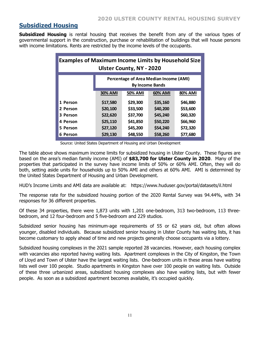## **Subsidized Housing**

**Subsidized Housing** is rental housing that receives the benefit from any of the various types of governmental support in the construction, purchase or rehabilitation of buildings that will house persons with income limitations. Rents are restricted by the income levels of the occupants.

| <b>Examples of Maximum Income Limits by Household Size</b><br><b>Ulster County, NY - 2020</b> |                |          |          |          |  |  |
|-----------------------------------------------------------------------------------------------|----------------|----------|----------|----------|--|--|
| Percentage of Area Median Income (AMI)<br><b>By Income Bands</b>                              |                |          |          |          |  |  |
|                                                                                               | <b>30% AMI</b> | 50% AMI  | 60% AMI  | 80% AMI  |  |  |
| 1 Person                                                                                      | \$17,580       | \$29,300 | \$35,160 | \$46,880 |  |  |
| 2 Person                                                                                      | \$20,100       | \$33,500 | \$40,200 | \$53,600 |  |  |
| 3 Person                                                                                      | \$22,620       | \$37,700 | \$45,240 | \$60,320 |  |  |
| 4 Person                                                                                      | \$25,110       | \$41,850 | \$50,220 | \$66,960 |  |  |
| 5 Person                                                                                      | \$27,120       | \$45,200 | \$54,240 | \$72,320 |  |  |
| 6 Person                                                                                      | \$29,130       | \$48,550 | \$58,260 | \$77,680 |  |  |

Source: United States Department of Housing and Urban Development

The table above shows maximum income limits for subsidized housing in Ulster County. These figures are based on the area's median family income (AMI) of **\$83,700 for Ulster County in 2020**. Many of the properties that participated in the survey have income limits of 50% or 60% AMI. Often, they will do both, setting aside units for households up to 50% AMI and others at 60% AMI. AMI is determined by the United States Department of Housing and Urban Development.

HUD's Income Limits and AMI data are available at: https://www.huduser.gov/portal/datasets/il.html

The response rate for the subsidized housing portion of the 2020 Rental Survey was 94.44%, with 34 responses for 36 different properties.

Of these 34 properties, there were 1,873 units with 1,201 one-bedroom, 313 two-bedroom, 113 threebedroom, and 12 four-bedroom and 5 five-bedroom and 229 studios.

Subsidized senior housing has minimum-age requirements of 55 or 62 years old, but often allows younger, disabled individuals. Because subsidized senior housing in Ulster County has waiting lists, it has become customary to apply ahead of time and new projects generally choose occupants via a lottery.

Subsidized housing complexes in the 2021 sample reported 28 vacancies. However, each housing complex with vacancies also reported having waiting lists. Apartment complexes in the City of Kingston, the Town of Lloyd and Town of Ulster have the largest waiting lists. One-bedroom units in these areas have waiting lists well over 100 people. Studio apartments in Kingston have over 100 people on waiting lists. Outside of these three urbanized areas, subsidized housing complexes also have waiting lists, but with fewer people. As soon as a subsidized apartment becomes available, it's occupied quickly.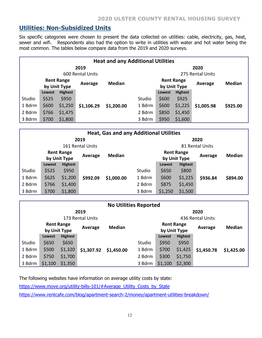### **Utilities: Non-Subsidized Units**

Six specific categories were chosen to present the data collected on utilities: cable, electricity, gas, heat, sewer and wifi. Respondents also had the option to write in utilities with water and hot water being the most common. The tables below compare data from the 2019 and 2020 surveys.

| <b>Heat and any Additional Utilities</b> |               |                                   |            |               |        |                                   |                |            |               |
|------------------------------------------|---------------|-----------------------------------|------------|---------------|--------|-----------------------------------|----------------|------------|---------------|
| 2019                                     |               |                                   |            |               | 2020   |                                   |                |            |               |
| 600 Rental Units                         |               |                                   |            |               |        | 275 Rental Units                  |                |            |               |
|                                          |               | <b>Rent Range</b><br>by Unit Type | Average    | <b>Median</b> |        | <b>Rent Range</b><br>by Unit Type |                | Average    | <b>Median</b> |
|                                          | <b>Lowest</b> | <b>Highest</b>                    |            |               |        | Lowest                            | <b>Highest</b> |            |               |
| Studio                                   | \$525         | \$950                             |            |               | Studio | \$600                             | \$925          |            |               |
| 1 Bdrm                                   | \$600         | \$1,250                           | \$1,106.29 | \$1,200.00    | 1 Bdrm | \$600                             | \$1,225        | \$1,005.98 | \$925.00      |
| 2 Bdrm                                   | \$766         | \$1,475                           |            |               | 2 Bdrm | \$850                             | \$1,450        |            |               |
| 3 Bdrm                                   | \$700         | \$1,800                           |            |               | 3 Bdrm | \$950                             | \$1,600        |            |               |

| <b>Heat, Gas and any Additional Utilities</b> |                                   |                |          |               |                                              |         |                |               |          |
|-----------------------------------------------|-----------------------------------|----------------|----------|---------------|----------------------------------------------|---------|----------------|---------------|----------|
| 2019                                          |                                   |                |          |               | 2020                                         |         |                |               |          |
| 161 Rental Units                              |                                   |                |          |               | 81 Rental Units                              |         |                |               |          |
|                                               | <b>Rent Range</b><br>by Unit Type |                | Average  | <b>Median</b> | <b>Rent Range</b><br>Average<br>by Unit Type |         |                | <b>Median</b> |          |
|                                               | <b>Lowest</b>                     | <b>Highest</b> |          |               |                                              | Lowest  | <b>Highest</b> |               |          |
| Studio                                        | \$525                             | \$950          |          |               | Studio                                       | \$650   | \$800          |               |          |
| 1 Bdrm                                        | \$625                             | \$1,200        | \$992.09 | \$1,000.00    | 1 Bdrm                                       | \$600   | \$1,225        | \$936.84      | \$894.00 |
| 2 Bdrm                                        | \$766                             | \$1,400        |          |               | 2 Bdrm                                       | \$875   | \$1,450        |               |          |
| 3 Bdrm                                        | \$700                             | \$1,800        |          |               | 3 Bdrm                                       | \$1,250 | \$1,500        |               |          |

| <b>No Utilities Reported</b> |               |                                   |            |               |                                   |                  |                |            |               |
|------------------------------|---------------|-----------------------------------|------------|---------------|-----------------------------------|------------------|----------------|------------|---------------|
| 2019                         |               |                                   |            |               | 2020                              |                  |                |            |               |
| 173 Rental Units             |               |                                   |            |               |                                   | 436 Rental Units |                |            |               |
|                              |               | <b>Rent Range</b><br>by Unit Type | Average    | <b>Median</b> | <b>Rent Range</b><br>by Unit Type |                  |                | Average    | <b>Median</b> |
|                              | <b>Lowest</b> | <b>Highest</b>                    |            |               |                                   | Lowest           | <b>Highest</b> |            |               |
| Studio                       | \$650         | \$650                             |            |               | Studio                            | \$950            | \$950          |            |               |
| 1 Bdrm                       | \$500         | \$1,320                           | \$1,307.92 | \$1,450.00    | 1 Bdrm                            | \$700            | \$1,425        | \$1,450.78 | \$1,425.00    |
| 2 Bdrm                       | \$750         | \$1,700                           |            |               | 2 Bdrm                            | \$300            | \$1,750        |            |               |
| 3 Bdrm                       | \$1,100       | \$1,350                           |            |               | 3 Bdrm                            | \$1,100          | \$2,300        |            |               |

The following websites have information on average utility costs by state: https://www.move.org/utility-bills-101/#Average\_Utility\_Costs\_by\_State https://www.rentcafe.com/blog/apartment-search-2/money/apartment-utilities-breakdown/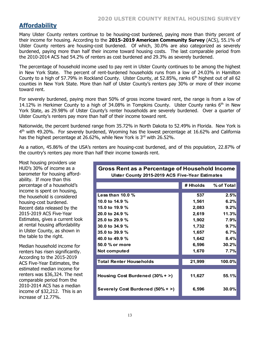## **Affordability**

Many Ulster County renters continue to be housing-cost burdened, paying more than thirty percent of their income for housing. According to the **2015-2019 American Community Survey** (ACS), 55.1% of Ulster County renters are housing-cost burdened. Of which, 30.0% are also categorized as severely burdened, paying more than half their income toward housing costs. The last comparable period from the 2010-2014 ACS had 54.2% of renters as cost burdened and 29.3% as severely burdened.

The percentage of household income used to pay rent in Ulster County continues to be among the highest in New York State. The percent of rent-burdened households runs from a low of 24.03% in Hamilton County to a high of 57.79% in Rockland County. Ulster County, at 52.85%, ranks  $6<sup>th</sup>$  highest out of all 62 counties in New York State. More than half of Ulster County's renters pay 30% or more of their income toward rent.

For severely burdened, paying more than 50% of gross income toward rent, the range is from a low of 14.12% in Herkimer County to a high of 34.08% in Tompkins County. Ulster County ranks  $6<sup>th</sup>$  in New York State, as 29.98% of Ulster County's renter households are severely burdened. Over a quarter of Ulster County's renters pay more than half of their income toward rent.

Nationwide, the percent burdened range from 35.72% in North Dakota to 52.49% in Florida. New York is  $4<sup>th</sup>$  with 49.20%. For severely burdened, Wyoming has the lowest percentage at 16.62% and California has the highest percentage at 26.62%, while New York is 3<sup>rd</sup> with 26.52%.

As a nation, 45.86% of the USA's renters are housing-cost burdened, and of this population, 22.87% of the country's renters pay more than half their income towards rent.

Most housing providers use HUD's 30% of income as a barometer for housing affordability. If more than this percentage of a household's income is spent on housing, the household is considered housing-cost burdened. Recent data released by the 2015-2019 ACS Five-Year Estimates, gives a current look at rental housing affordability in Ulster County, as shown in the table to the right.

Median household income for renters has risen significantly. According to the 2015-2019 ACS Five-Year Estimates, the estimated median income for renters was \$36,324. The next comparable period from the 2010-2014 ACS has a median income of \$32,212. This is an increase of 12.77%.

| Gross Rent as a Percentage of Household Income<br><b>Ulster County 2015-2019 ACS Five-Year Estimates</b> |          |            |  |  |  |  |
|----------------------------------------------------------------------------------------------------------|----------|------------|--|--|--|--|
|                                                                                                          |          |            |  |  |  |  |
|                                                                                                          | # Hholds | % of Total |  |  |  |  |
| Less than $10.0\%$                                                                                       | 537      | 2.5%       |  |  |  |  |
| 10.0 to $14.9%$                                                                                          | 1,561    | 6.2%       |  |  |  |  |
| 15.0 to 19.9 %                                                                                           | 2,083    | 9.2%       |  |  |  |  |
| 20.0 to 24.9 %                                                                                           | 2,619    | 11.3%      |  |  |  |  |
| 25.0 to 29.9 %                                                                                           | 1,902    | 7.9%       |  |  |  |  |
| 30.0 to 34.9 %                                                                                           | 1,732    | 9.7%       |  |  |  |  |
| 35.0 to 39.9 %                                                                                           | 1,657    | 6.7%       |  |  |  |  |
| 40.0 to 49.9 %                                                                                           | 1,642    | 8.4%       |  |  |  |  |
| 50.0 % or more                                                                                           | 6,596    | 30.2%      |  |  |  |  |
| Not computed                                                                                             | 1,670    | 7.7%       |  |  |  |  |
| <b>Total Renter Households</b>                                                                           | 21,999   | 100.0%     |  |  |  |  |
|                                                                                                          |          |            |  |  |  |  |
| Housing Cost Burdened (30% + >)                                                                          | 11,627   | 55.1%      |  |  |  |  |
| Severely Cost Burdened (50% + >)                                                                         | 6,596    | 30.0%      |  |  |  |  |

# **Gross Rent as a Percentage of Household Income**